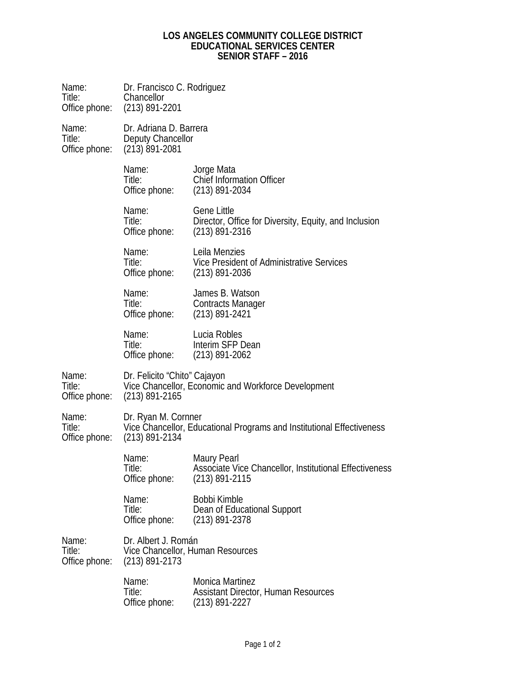## **LOS ANGELES COMMUNITY COLLEGE DISTRICT EDUCATIONAL SERVICES CENTER SENIOR STAFF – 2016**

| Name: <b>Name</b><br>Title:<br>Office phone: | Dr. Francisco C. Rodriguez<br>Chancellor<br>$(213)$ 891-2201                                                     |                                                                                                  |  |
|----------------------------------------------|------------------------------------------------------------------------------------------------------------------|--------------------------------------------------------------------------------------------------|--|
| Name:<br>Title:<br>Office phone:             | Dr. Adriana D. Barrera<br>Deputy Chancellor<br>$(213)$ 891-2081                                                  |                                                                                                  |  |
|                                              | Name:<br>Title:<br>Office phone:                                                                                 | Jorge Mata<br><b>Chief Information Officer</b><br>$(213)$ 891-2034                               |  |
|                                              | Name:<br>Title:<br>Office phone:                                                                                 | <b>Gene Little</b><br>Director, Office for Diversity, Equity, and Inclusion<br>$(213)$ 891-2316  |  |
|                                              | Name:<br>Title:<br>Office phone:                                                                                 | Leila Menzies<br>Vice President of Administrative Services<br>$(213)$ 891-2036                   |  |
|                                              | Name:<br>Title:<br>Office phone:                                                                                 | James B. Watson<br><b>Contracts Manager</b><br>$(213)$ 891-2421                                  |  |
|                                              | Name:<br>Title:<br>Office phone:                                                                                 | Lucia Robles<br>Interim SFP Dean<br>$(213)$ 891-2062                                             |  |
| Name:<br>Title:<br>Office phone:             | Dr. Felicito "Chito" Cajayon<br>Vice Chancellor, Economic and Workforce Development<br>$(213)$ 891-2165          |                                                                                                  |  |
| Name:<br>Title:<br>Office phone:             | Dr. Ryan M. Cornner<br>Vice Chancellor, Educational Programs and Institutional Effectiveness<br>$(213)$ 891-2134 |                                                                                                  |  |
|                                              | Name:<br>Title:<br>Office phone:                                                                                 | <b>Maury Pearl</b><br>Associate Vice Chancellor, Institutional Effectiveness<br>$(213)$ 891-2115 |  |
|                                              | Name:<br>Title:<br>Office phone:                                                                                 | Bobbi Kimble<br>Dean of Educational Support<br>$(213)$ 891-2378                                  |  |
| Name:<br>Title:<br>Office phone:             | Dr. Albert J. Román<br>Vice Chancellor, Human Resources<br>$(213)$ 891-2173                                      |                                                                                                  |  |
|                                              | Name:<br>Title:<br>Office phone:                                                                                 | <b>Monica Martinez</b><br><b>Assistant Director, Human Resources</b><br>$(213)$ 891-2227         |  |